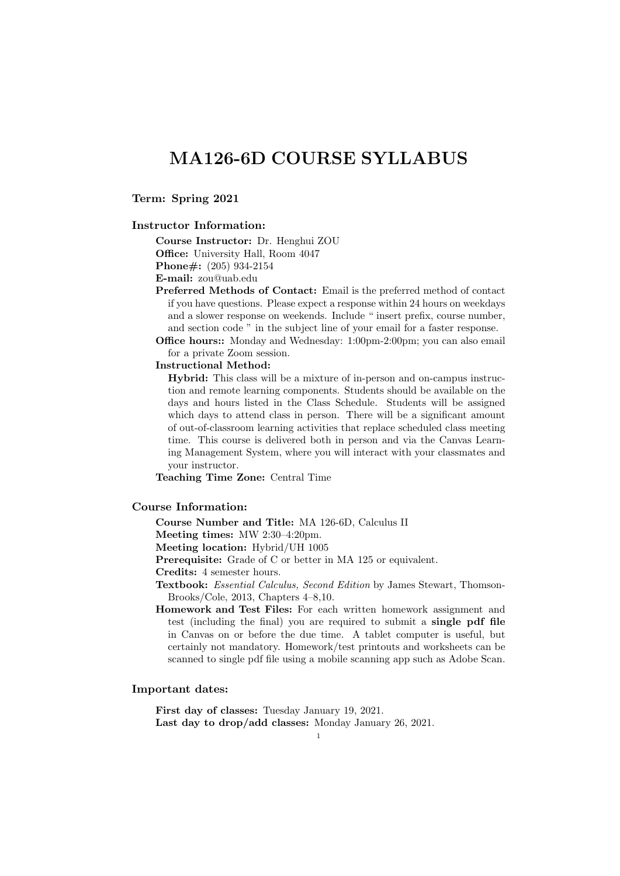**Term: Spring 2021**

#### **Instructor Information:**

**Course Instructor:** Dr. Henghui ZOU **Office:** University Hall, Room 4047 **Phone#:** (205) 934-2154

**E-mail:** zou@uab.edu

- **Preferred Methods of Contact:** Email is the preferred method of contact if you have questions. Please expect a response within 24 hours on weekdays and a slower response on weekends. Include " insert prefix, course number, and section code " in the subject line of your email for a faster response.
- **Office hours::** Monday and Wednesday: 1:00pm-2:00pm; you can also email for a private Zoom session.

#### **Instructional Method:**

**Hybrid:** This class will be a mixture of in-person and on-campus instruction and remote learning components. Students should be available on the days and hours listed in the Class Schedule. Students will be assigned which days to attend class in person. There will be a significant amount of out-of-classroom learning activities that replace scheduled class meeting time. This course is delivered both in person and via the Canvas Learning Management System, where you will interact with your classmates and your instructor.

**Teaching Time Zone:** Central Time

#### **Course Information:**

**Course Number and Title:** MA 126-6D, Calculus II

**Meeting times:** MW 2:30–4:20pm.

**Meeting location:** Hybrid/UH 1005

**Prerequisite:** Grade of C or better in MA 125 or equivalent.

**Credits:** 4 semester hours.

**Textbook:** *Essential Calculus, Second Edition* by James Stewart, Thomson-Brooks/Cole, 2013, Chapters 4–8,10.

**Homework and Test Files:** For each written homework assignment and test (including the final) you are required to submit a **single pdf file** in Canvas on or before the due time. A tablet computer is useful, but certainly not mandatory. Homework/test printouts and worksheets can be scanned to single pdf file using a mobile scanning app such as Adobe Scan.

### **Important dates:**

**First day of classes:** Tuesday January 19, 2021. **Last day to drop/add classes:** Monday January 26, 2021.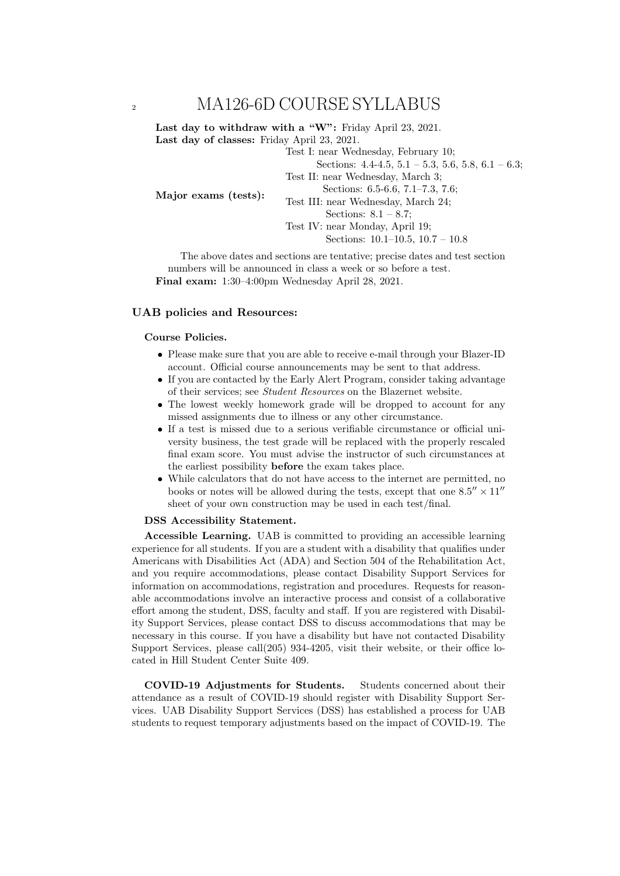Last day to withdraw with a "W": Friday April 23, 2021. **Last day of classes:** Friday April 23, 2021. Test I: near Wednesday, February 10;

Sections:  $4.4-4.5$ ,  $5.1-5.3$ ,  $5.6$ ,  $5.8$ ,  $6.1-6.3$ ;

Test II: near Wednesday, March 3;

**Major exams (tests):**

Test III: near Wednesday, March 24;

Sections: 6.5-6.6, 7.1–7.3, 7.6;

Sections: 8.1 – 8.7; Test IV: near Monday, April 19; Sections: 10.1–10.5, 10.7 – 10.8

The above dates and sections are tentative; precise dates and test section numbers will be announced in class a week or so before a test. **Final exam:** 1:30–4:00pm Wednesday April 28, 2021.

### **UAB policies and Resources:**

### **Course Policies.**

- *•* Please make sure that you are able to receive e-mail through your Blazer-ID account. Official course announcements may be sent to that address.
- If you are contacted by the Early Alert Program, consider taking advantage of their services; see *Student Resources* on the Blazernet website.
- *•* The lowest weekly homework grade will be dropped to account for any missed assignments due to illness or any other circumstance.
- If a test is missed due to a serious verifiable circumstance or official university business, the test grade will be replaced with the properly rescaled final exam score. You must advise the instructor of such circumstances at the earliest possibility **before** the exam takes place.
- While calculators that do not have access to the internet are permitted, no books or notes will be allowed during the tests, except that one  $8.5'' \times 11''$ sheet of your own construction may be used in each test/final.

#### **DSS Accessibility Statement.**

**Accessible Learning.** UAB is committed to providing an accessible learning experience for all students. If you are a student with a disability that qualifies under Americans with Disabilities Act (ADA) and Section 504 of the Rehabilitation Act, and you require accommodations, please contact Disability Support Services for information on accommodations, registration and procedures. Requests for reasonable accommodations involve an interactive process and consist of a collaborative effort among the student, DSS, faculty and staff. If you are registered with Disability Support Services, please contact DSS to discuss accommodations that may be necessary in this course. If you have a disability but have not contacted Disability Support Services, please call(205) 934-4205, visit their website, or their office located in Hill Student Center Suite 409.

**COVID-19 Adjustments for Students.** Students concerned about their attendance as a result of COVID-19 should register with Disability Support Services. UAB Disability Support Services (DSS) has established a process for UAB students to request temporary adjustments based on the impact of COVID-19. The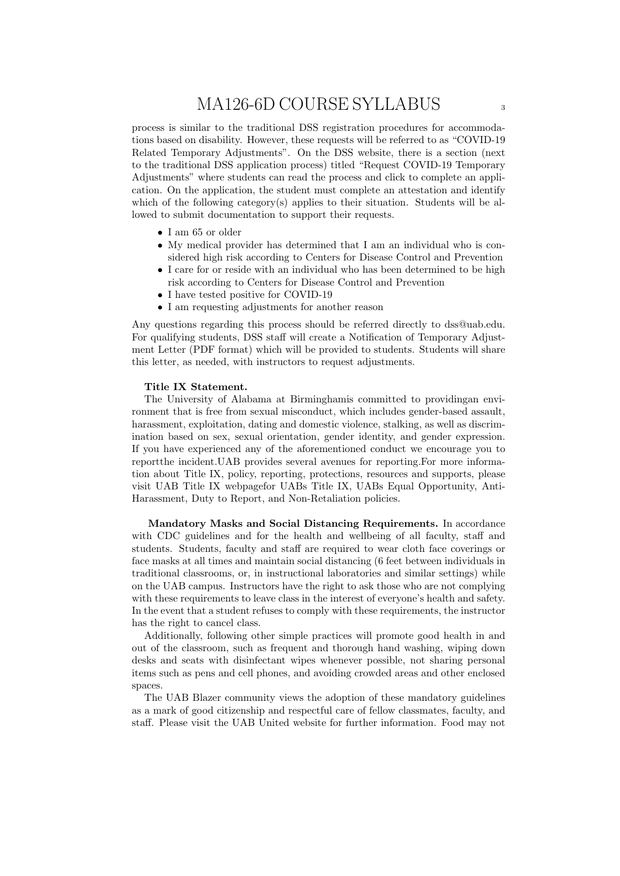process is similar to the traditional DSS registration procedures for accommodations based on disability. However, these requests will be referred to as "COVID-19 Related Temporary Adjustments". On the DSS website, there is a section (next to the traditional DSS application process) titled "Request COVID-19 Temporary Adjustments" where students can read the process and click to complete an application. On the application, the student must complete an attestation and identify which of the following category(s) applies to their situation. Students will be allowed to submit documentation to support their requests.

- *•* I am 65 or older
- *•* My medical provider has determined that I am an individual who is considered high risk according to Centers for Disease Control and Prevention
- *•* I care for or reside with an individual who has been determined to be high risk according to Centers for Disease Control and Prevention
- I have tested positive for COVID-19
- I am requesting adjustments for another reason

Any questions regarding this process should be referred directly to dss@uab.edu. For qualifying students, DSS staff will create a Notification of Temporary Adjustment Letter (PDF format) which will be provided to students. Students will share this letter, as needed, with instructors to request adjustments.

#### **Title IX Statement.**

The University of Alabama at Birminghamis committed to providingan environment that is free from sexual misconduct, which includes gender-based assault, harassment, exploitation, dating and domestic violence, stalking, as well as discrimination based on sex, sexual orientation, gender identity, and gender expression. If you have experienced any of the aforementioned conduct we encourage you to reportthe incident.UAB provides several avenues for reporting.For more information about Title IX, policy, reporting, protections, resources and supports, please visit UAB Title IX webpagefor UABs Title IX, UABs Equal Opportunity, Anti-Harassment, Duty to Report, and Non-Retaliation policies.

**Mandatory Masks and Social Distancing Requirements.** In accordance with CDC guidelines and for the health and wellbeing of all faculty, staff and students. Students, faculty and staff are required to wear cloth face coverings or face masks at all times and maintain social distancing (6 feet between individuals in traditional classrooms, or, in instructional laboratories and similar settings) while on the UAB campus. Instructors have the right to ask those who are not complying with these requirements to leave class in the interest of everyone's health and safety. In the event that a student refuses to comply with these requirements, the instructor has the right to cancel class.

Additionally, following other simple practices will promote good health in and out of the classroom, such as frequent and thorough hand washing, wiping down desks and seats with disinfectant wipes whenever possible, not sharing personal items such as pens and cell phones, and avoiding crowded areas and other enclosed spaces.

The UAB Blazer community views the adoption of these mandatory guidelines as a mark of good citizenship and respectful care of fellow classmates, faculty, and staff. Please visit the UAB United website for further information. Food may not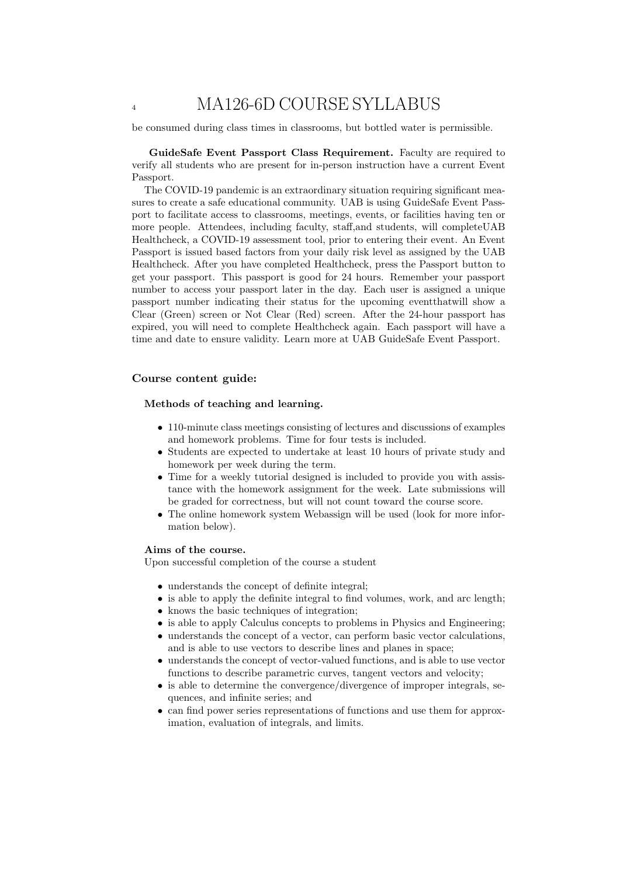be consumed during class times in classrooms, but bottled water is permissible.

**GuideSafe Event Passport Class Requirement.** Faculty are required to verify all students who are present for in-person instruction have a current Event Passport.

The COVID-19 pandemic is an extraordinary situation requiring significant measures to create a safe educational community. UAB is using GuideSafe Event Passport to facilitate access to classrooms, meetings, events, or facilities having ten or more people. Attendees, including faculty, staff,and students, will completeUAB Healthcheck, a COVID-19 assessment tool, prior to entering their event. An Event Passport is issued based factors from your daily risk level as assigned by the UAB Healthcheck. After you have completed Healthcheck, press the Passport button to get your passport. This passport is good for 24 hours. Remember your passport number to access your passport later in the day. Each user is assigned a unique passport number indicating their status for the upcoming eventthatwill show a Clear (Green) screen or Not Clear (Red) screen. After the 24-hour passport has expired, you will need to complete Healthcheck again. Each passport will have a time and date to ensure validity. Learn more at UAB GuideSafe Event Passport.

#### **Course content guide:**

#### **Methods of teaching and learning.**

- *•* 110-minute class meetings consisting of lectures and discussions of examples and homework problems. Time for four tests is included.
- Students are expected to undertake at least 10 hours of private study and homework per week during the term.
- *•* Time for a weekly tutorial designed is included to provide you with assistance with the homework assignment for the week. Late submissions will be graded for correctness, but will not count toward the course score.
- The online homework system Webassign will be used (look for more information below).

#### **Aims of the course.**

Upon successful completion of the course a student

- understands the concept of definite integral;
- is able to apply the definite integral to find volumes, work, and arc length;
- knows the basic techniques of integration;
- is able to apply Calculus concepts to problems in Physics and Engineering;
- understands the concept of a vector, can perform basic vector calculations, and is able to use vectors to describe lines and planes in space;
- *•* understands the concept of vector-valued functions, and is able to use vector functions to describe parametric curves, tangent vectors and velocity;
- is able to determine the convergence/divergence of improper integrals, sequences, and infinite series; and
- *•* can find power series representations of functions and use them for approximation, evaluation of integrals, and limits.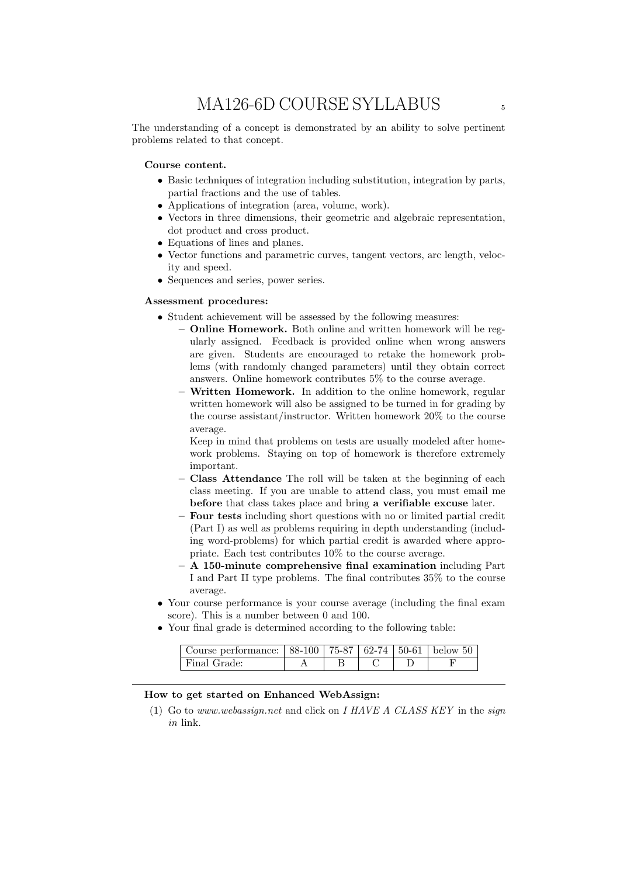The understanding of a concept is demonstrated by an ability to solve pertinent problems related to that concept.

#### **Course content.**

- *•* Basic techniques of integration including substitution, integration by parts, partial fractions and the use of tables.
- *•* Applications of integration (area, volume, work).
- *•* Vectors in three dimensions, their geometric and algebraic representation, dot product and cross product.
- Equations of lines and planes.
- Vector functions and parametric curves, tangent vectors, arc length, velocity and speed.
- Sequences and series, power series.

#### **Assessment procedures:**

- *•* Student achievement will be assessed by the following measures:
	- **– Online Homework.** Both online and written homework will be regularly assigned. Feedback is provided online when wrong answers are given. Students are encouraged to retake the homework problems (with randomly changed parameters) until they obtain correct answers. Online homework contributes 5% to the course average.
	- **– Written Homework.** In addition to the online homework, regular written homework will also be assigned to be turned in for grading by the course assistant/instructor. Written homework 20% to the course average.

Keep in mind that problems on tests are usually modeled after homework problems. Staying on top of homework is therefore extremely important.

- **– Class Attendance** The roll will be taken at the beginning of each class meeting. If you are unable to attend class, you must email me **before** that class takes place and bring **a verifiable excuse** later.
- **– Four tests** including short questions with no or limited partial credit (Part I) as well as problems requiring in depth understanding (including word-problems) for which partial credit is awarded where appropriate. Each test contributes 10% to the course average.
- **– A 150-minute comprehensive final examination** including Part I and Part II type problems. The final contributes 35% to the course average.
- *•* Your course performance is your course average (including the final exam score). This is a number between 0 and 100.
- Your final grade is determined according to the following table:

| Course performance: $  88-100   75-87   62-74   50-61  $ below 50 |  |  |  |
|-------------------------------------------------------------------|--|--|--|
| Final Grade:                                                      |  |  |  |

#### **How to get started on Enhanced WebAssign:**

(1) Go to *www.webassign.net* and click on *I HAVE A CLASS KEY* in the *sign in* link.